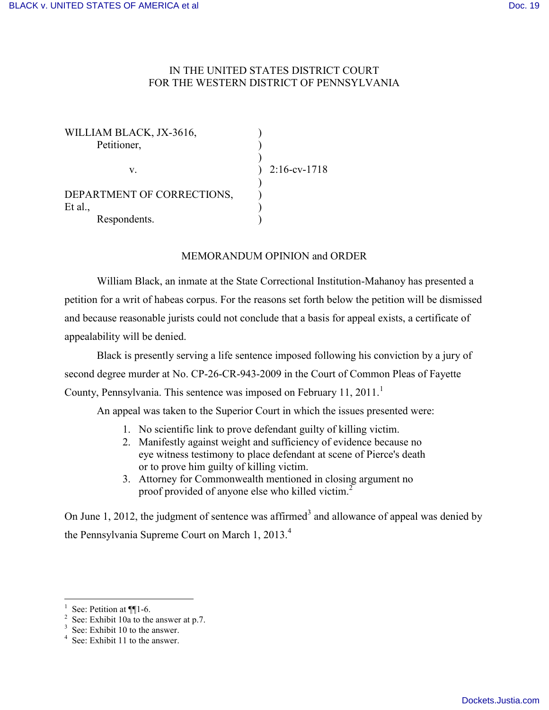## IN THE UNITED STATES DISTRICT COURT FOR THE WESTERN DISTRICT OF PENNSYLVANIA

| $2:16$ -cv-1718 |
|-----------------|
|                 |
|                 |
|                 |
|                 |
|                 |

## MEMORANDUM OPINION and ORDER

William Black, an inmate at the State Correctional Institution-Mahanoy has presented a petition for a writ of habeas corpus. For the reasons set forth below the petition will be dismissed and because reasonable jurists could not conclude that a basis for appeal exists, a certificate of appealability will be denied.

Black is presently serving a life sentence imposed following his conviction by a jury of second degree murder at No. CP-26-CR-943-2009 in the Court of Common Pleas of Fayette County, Pennsylvania. This sentence was imposed on February 11, 2011.<sup>1</sup>

An appeal was taken to the Superior Court in which the issues presented were:

- 1. No scientific link to prove defendant guilty of killing victim.
- 2. Manifestly against weight and sufficiency of evidence because no eye witness testimony to place defendant at scene of Pierce's death or to prove him guilty of killing victim.
- 3. Attorney for Commonwealth mentioned in closing argument no proof provided of anyone else who killed victim.<sup>2</sup>

On June 1, 2012, the judgment of sentence was affirmed<sup>3</sup> and allowance of appeal was denied by the Pennsylvania Supreme Court on March 1, 2013.<sup>4</sup>

 $\overline{a}$ 

<sup>1</sup> See: Petition at  $\P$ [1-6.

<sup>&</sup>lt;sup>2</sup> See: Exhibit 10a to the answer at p.7.

 $3$  See: Exhibit 10 to the answer.

<sup>&</sup>lt;sup>4</sup> See: Exhibit 11 to the answer.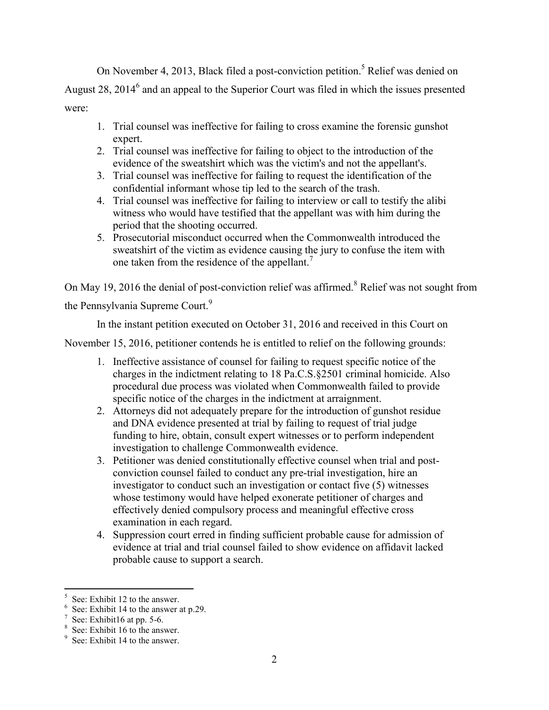On November 4, 2013, Black filed a post-conviction petition.<sup>5</sup> Relief was denied on August 28, 2014 $^6$  and an appeal to the Superior Court was filed in which the issues presented were:

- 1. Trial counsel was ineffective for failing to cross examine the forensic gunshot expert.
- 2. Trial counsel was ineffective for failing to object to the introduction of the evidence of the sweatshirt which was the victim's and not the appellant's.
- 3. Trial counsel was ineffective for failing to request the identification of the confidential informant whose tip led to the search of the trash.
- 4. Trial counsel was ineffective for failing to interview or call to testify the alibi witness who would have testified that the appellant was with him during the period that the shooting occurred.
- 5. Prosecutorial misconduct occurred when the Commonwealth introduced the sweatshirt of the victim as evidence causing the jury to confuse the item with one taken from the residence of the appellant.<sup>7</sup>

On May 19, 2016 the denial of post-conviction relief was affirmed.<sup>8</sup> Relief was not sought from the Pennsylvania Supreme Court.<sup>9</sup>

In the instant petition executed on October 31, 2016 and received in this Court on

November 15, 2016, petitioner contends he is entitled to relief on the following grounds:

- 1. Ineffective assistance of counsel for failing to request specific notice of the charges in the indictment relating to 18 Pa.C.S.§2501 criminal homicide. Also procedural due process was violated when Commonwealth failed to provide specific notice of the charges in the indictment at arraignment.
- 2. Attorneys did not adequately prepare for the introduction of gunshot residue and DNA evidence presented at trial by failing to request of trial judge funding to hire, obtain, consult expert witnesses or to perform independent investigation to challenge Commonwealth evidence.
- 3. Petitioner was denied constitutionally effective counsel when trial and postconviction counsel failed to conduct any pre-trial investigation, hire an investigator to conduct such an investigation or contact five (5) witnesses whose testimony would have helped exonerate petitioner of charges and effectively denied compulsory process and meaningful effective cross examination in each regard.
- 4. Suppression court erred in finding sufficient probable cause for admission of evidence at trial and trial counsel failed to show evidence on affidavit lacked probable cause to support a search.

 $\overline{a}$ 

<sup>5</sup> See: Exhibit 12 to the answer.

<sup>6</sup> See: Exhibit 14 to the answer at p.29.

<sup>7</sup> See: Exhibit16 at pp. 5-6.

<sup>8</sup> See: Exhibit 16 to the answer.

<sup>&</sup>lt;sup>9</sup> See: Exhibit 14 to the answer.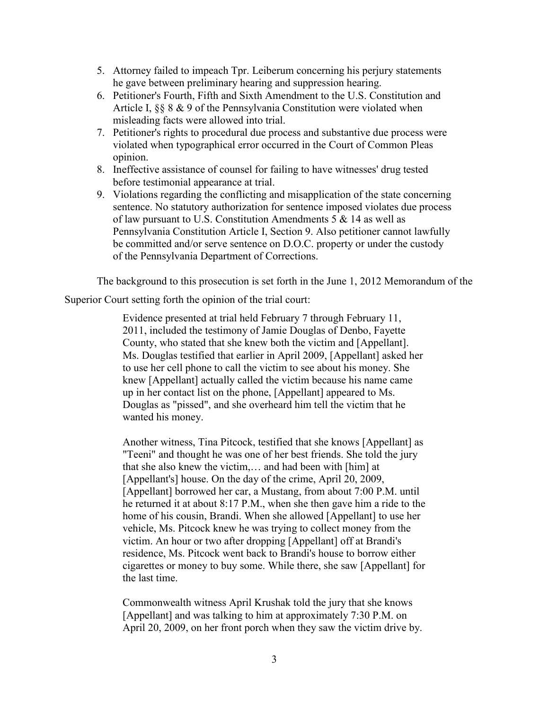- 5. Attorney failed to impeach Tpr. Leiberum concerning his perjury statements he gave between preliminary hearing and suppression hearing.
- 6. Petitioner's Fourth, Fifth and Sixth Amendment to the U.S. Constitution and Article I, §§ 8 & 9 of the Pennsylvania Constitution were violated when misleading facts were allowed into trial.
- 7. Petitioner's rights to procedural due process and substantive due process were violated when typographical error occurred in the Court of Common Pleas opinion.
- 8. Ineffective assistance of counsel for failing to have witnesses' drug tested before testimonial appearance at trial.
- 9. Violations regarding the conflicting and misapplication of the state concerning sentence. No statutory authorization for sentence imposed violates due process of law pursuant to U.S. Constitution Amendments 5 & 14 as well as Pennsylvania Constitution Article I, Section 9. Also petitioner cannot lawfully be committed and/or serve sentence on D.O.C. property or under the custody of the Pennsylvania Department of Corrections.

The background to this prosecution is set forth in the June 1, 2012 Memorandum of the

Superior Court setting forth the opinion of the trial court:

Evidence presented at trial held February 7 through February 11, 2011, included the testimony of Jamie Douglas of Denbo, Fayette County, who stated that she knew both the victim and [Appellant]. Ms. Douglas testified that earlier in April 2009, [Appellant] asked her to use her cell phone to call the victim to see about his money. She knew [Appellant] actually called the victim because his name came up in her contact list on the phone, [Appellant] appeared to Ms. Douglas as "pissed", and she overheard him tell the victim that he wanted his money.

Another witness, Tina Pitcock, testified that she knows [Appellant] as "Teeni" and thought he was one of her best friends. She told the jury that she also knew the victim,… and had been with [him] at [Appellant's] house. On the day of the crime, April 20, 2009, [Appellant] borrowed her car, a Mustang, from about 7:00 P.M. until he returned it at about 8:17 P.M., when she then gave him a ride to the home of his cousin, Brandi. When she allowed [Appellant] to use her vehicle, Ms. Pitcock knew he was trying to collect money from the victim. An hour or two after dropping [Appellant] off at Brandi's residence, Ms. Pitcock went back to Brandi's house to borrow either cigarettes or money to buy some. While there, she saw [Appellant] for the last time.

Commonwealth witness April Krushak told the jury that she knows [Appellant] and was talking to him at approximately 7:30 P.M. on April 20, 2009, on her front porch when they saw the victim drive by.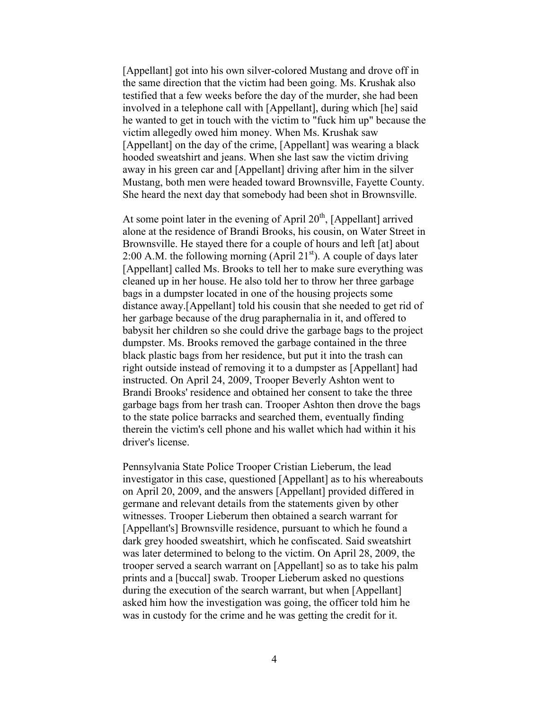[Appellant] got into his own silver-colored Mustang and drove off in the same direction that the victim had been going. Ms. Krushak also testified that a few weeks before the day of the murder, she had been involved in a telephone call with [Appellant], during which [he] said he wanted to get in touch with the victim to "fuck him up" because the victim allegedly owed him money. When Ms. Krushak saw [Appellant] on the day of the crime, [Appellant] was wearing a black hooded sweatshirt and jeans. When she last saw the victim driving away in his green car and [Appellant] driving after him in the silver Mustang, both men were headed toward Brownsville, Fayette County. She heard the next day that somebody had been shot in Brownsville.

At some point later in the evening of April  $20<sup>th</sup>$ , [Appellant] arrived alone at the residence of Brandi Brooks, his cousin, on Water Street in Brownsville. He stayed there for a couple of hours and left [at] about 2:00 A.M. the following morning (April  $21<sup>st</sup>$ ). A couple of days later [Appellant] called Ms. Brooks to tell her to make sure everything was cleaned up in her house. He also told her to throw her three garbage bags in a dumpster located in one of the housing projects some distance away.[Appellant] told his cousin that she needed to get rid of her garbage because of the drug paraphernalia in it, and offered to babysit her children so she could drive the garbage bags to the project dumpster. Ms. Brooks removed the garbage contained in the three black plastic bags from her residence, but put it into the trash can right outside instead of removing it to a dumpster as [Appellant] had instructed. On April 24, 2009, Trooper Beverly Ashton went to Brandi Brooks' residence and obtained her consent to take the three garbage bags from her trash can. Trooper Ashton then drove the bags to the state police barracks and searched them, eventually finding therein the victim's cell phone and his wallet which had within it his driver's license.

Pennsylvania State Police Trooper Cristian Lieberum, the lead investigator in this case, questioned [Appellant] as to his whereabouts on April 20, 2009, and the answers [Appellant] provided differed in germane and relevant details from the statements given by other witnesses. Trooper Lieberum then obtained a search warrant for [Appellant's] Brownsville residence, pursuant to which he found a dark grey hooded sweatshirt, which he confiscated. Said sweatshirt was later determined to belong to the victim. On April 28, 2009, the trooper served a search warrant on [Appellant] so as to take his palm prints and a [buccal] swab. Trooper Lieberum asked no questions during the execution of the search warrant, but when [Appellant] asked him how the investigation was going, the officer told him he was in custody for the crime and he was getting the credit for it.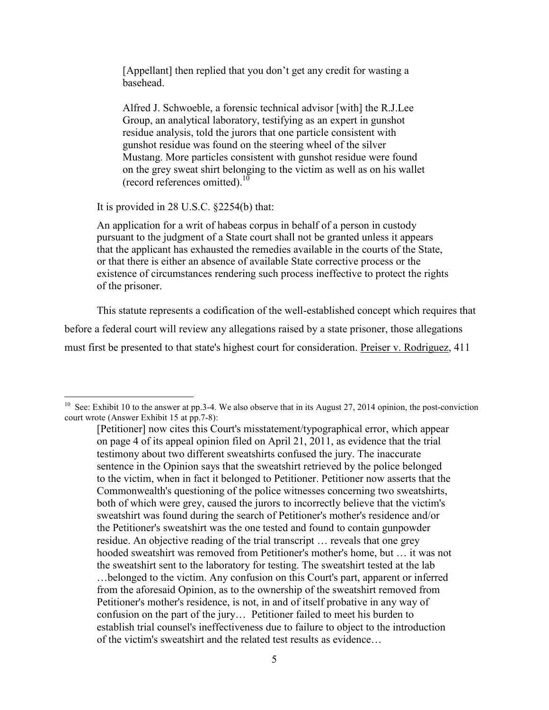[Appellant] then replied that you don't get any credit for wasting a basehead.

Alfred J. Schwoeble, a forensic technical advisor [with] the R.J.Lee Group, an analytical laboratory, testifying as an expert in gunshot residue analysis, told the jurors that one particle consistent with gunshot residue was found on the steering wheel of the silver Mustang. More particles consistent with gunshot residue were found on the grey sweat shirt belonging to the victim as well as on his wallet (record references omitted). $^{10}$ 

It is provided in 28 U.S.C. §2254(b) that:

An application for a writ of habeas corpus in behalf of a person in custody pursuant to the judgment of a State court shall not be granted unless it appears that the applicant has exhausted the remedies available in the courts of the State, or that there is either an absence of available State corrective process or the existence of circumstances rendering such process ineffective to protect the rights of the prisoner.

This statute represents a codification of the well-established concept which requires that before a federal court will review any allegations raised by a state prisoner, those allegations must first be presented to that state's highest court for consideration. Preiser v. Rodriguez, 411

<sup>&</sup>lt;sup>10</sup> See: Exhibit 10 to the answer at pp.3-4. We also observe that in its August 27, 2014 opinion, the post-conviction court wrote (Answer Exhibit 15 at pp.7-8):

<sup>[</sup>Petitioner] now cites this Court's misstatement/typographical error, which appear on page 4 of its appeal opinion filed on April 21, 2011, as evidence that the trial testimony about two different sweatshirts confused the jury. The inaccurate sentence in the Opinion says that the sweatshirt retrieved by the police belonged to the victim, when in fact it belonged to Petitioner. Petitioner now asserts that the Commonwealth's questioning of the police witnesses concerning two sweatshirts, both of which were grey, caused the jurors to incorrectly believe that the victim's sweatshirt was found during the search of Petitioner's mother's residence and/or the Petitioner's sweatshirt was the one tested and found to contain gunpowder residue. An objective reading of the trial transcript … reveals that one grey hooded sweatshirt was removed from Petitioner's mother's home, but … it was not the sweatshirt sent to the laboratory for testing. The sweatshirt tested at the lab …belonged to the victim. Any confusion on this Court's part, apparent or inferred from the aforesaid Opinion, as to the ownership of the sweatshirt removed from Petitioner's mother's residence, is not, in and of itself probative in any way of confusion on the part of the jury… Petitioner failed to meet his burden to establish trial counsel's ineffectiveness due to failure to object to the introduction of the victim's sweatshirt and the related test results as evidence…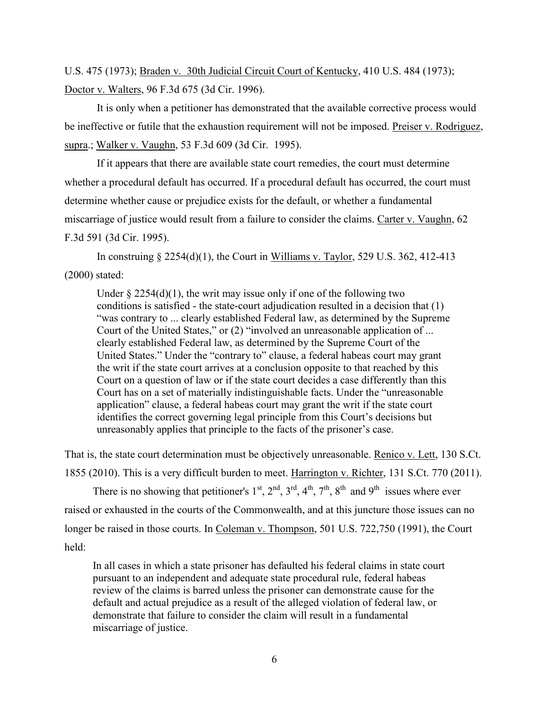U.S. 475 (1973); Braden v. 30th Judicial Circuit Court of Kentucky, 410 U.S. 484 (1973); Doctor v. Walters, 96 F.3d 675 (3d Cir. 1996).

It is only when a petitioner has demonstrated that the available corrective process would be ineffective or futile that the exhaustion requirement will not be imposed. Preiser v. Rodriguez, supra.; Walker v. Vaughn, 53 F.3d 609 (3d Cir. 1995).

If it appears that there are available state court remedies, the court must determine whether a procedural default has occurred. If a procedural default has occurred, the court must determine whether cause or prejudice exists for the default, or whether a fundamental miscarriage of justice would result from a failure to consider the claims. Carter v. Vaughn, 62 F.3d 591 (3d Cir. 1995).

In construing  $\S 2254(d)(1)$ , the Court in Williams v. Taylor, 529 U.S. 362, 412-413 (2000) stated:

Under  $\S 2254(d)(1)$ , the writ may issue only if one of the following two conditions is satisfied - the state-court adjudication resulted in a decision that (1) "was contrary to ... clearly established Federal law, as determined by the Supreme Court of the United States," or (2) "involved an unreasonable application of ... clearly established Federal law, as determined by the Supreme Court of the United States." Under the "contrary to" clause, a federal habeas court may grant the writ if the state court arrives at a conclusion opposite to that reached by this Court on a question of law or if the state court decides a case differently than this Court has on a set of materially indistinguishable facts. Under the "unreasonable application" clause, a federal habeas court may grant the writ if the state court identifies the correct governing legal principle from this Court's decisions but unreasonably applies that principle to the facts of the prisoner's case.

That is, the state court determination must be objectively unreasonable. Renico v. Lett, 130 S.Ct. 1855 (2010). This is a very difficult burden to meet. Harrington v. Richter, 131 S.Ct. 770 (2011). There is no showing that petitioner's  $1<sup>st</sup>$ ,  $2<sup>nd</sup>$ ,  $3<sup>rd</sup>$ ,  $4<sup>th</sup>$ ,  $7<sup>th</sup>$ ,  $8<sup>th</sup>$  and  $9<sup>th</sup>$  issues where ever raised or exhausted in the courts of the Commonwealth, and at this juncture those issues can no longer be raised in those courts. In Coleman v. Thompson, 501 U.S. 722,750 (1991), the Court held:

In all cases in which a state prisoner has defaulted his federal claims in state court pursuant to an independent and adequate state procedural rule, federal habeas review of the claims is barred unless the prisoner can demonstrate cause for the default and actual prejudice as a result of the alleged violation of federal law, or demonstrate that failure to consider the claim will result in a fundamental miscarriage of justice.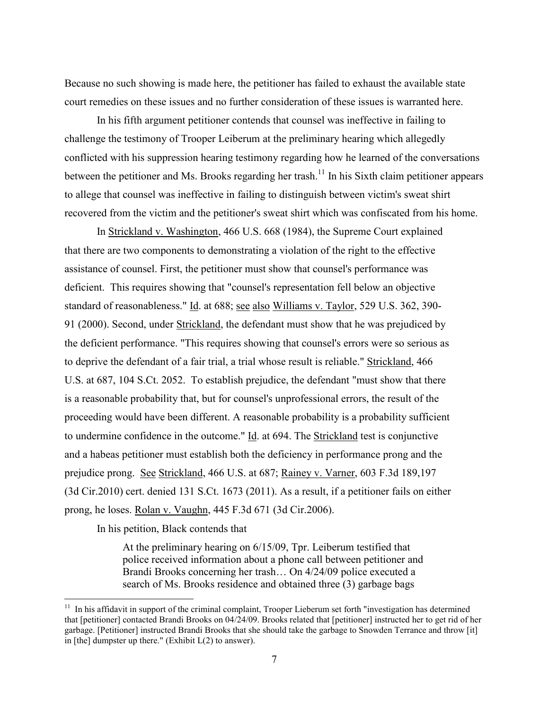Because no such showing is made here, the petitioner has failed to exhaust the available state court remedies on these issues and no further consideration of these issues is warranted here.

In his fifth argument petitioner contends that counsel was ineffective in failing to challenge the testimony of Trooper Leiberum at the preliminary hearing which allegedly conflicted with his suppression hearing testimony regarding how he learned of the conversations between the petitioner and Ms. Brooks regarding her trash.<sup>11</sup> In his Sixth claim petitioner appears to allege that counsel was ineffective in failing to distinguish between victim's sweat shirt recovered from the victim and the petitioner's sweat shirt which was confiscated from his home.

In Strickland v. Washington, 466 U.S. 668 (1984), the Supreme Court explained that there are two components to demonstrating a violation of the right to the effective assistance of counsel. First, the petitioner must show that counsel's performance was deficient. This requires showing that "counsel's representation fell below an objective standard of reasonableness." Id. at 688; see also Williams v. Taylor, 529 U.S. 362, 390- 91 (2000). Second, under Strickland, the defendant must show that he was prejudiced by the deficient performance. "This requires showing that counsel's errors were so serious as to deprive the defendant of a fair trial, a trial whose result is reliable." Strickland, 466 U.S. at 687, 104 S.Ct. 2052. To establish prejudice, the defendant "must show that there is a reasonable probability that, but for counsel's unprofessional errors, the result of the proceeding would have been different. A reasonable probability is a probability sufficient to undermine confidence in the outcome." Id. at 694. The Strickland test is conjunctive and a habeas petitioner must establish both the deficiency in performance prong and the prejudice prong. See Strickland, 466 U.S. at 687; Rainey v. Varner, 603 F.3d 189,197 (3d Cir.2010) cert. denied 131 S.Ct. 1673 (2011). As a result, if a petitioner fails on either prong, he loses. Rolan v. Vaughn, 445 F.3d 671 (3d Cir.2006).

In his petition, Black contends that

 $\overline{a}$ 

At the preliminary hearing on 6/15/09, Tpr. Leiberum testified that police received information about a phone call between petitioner and Brandi Brooks concerning her trash… On 4/24/09 police executed a search of Ms. Brooks residence and obtained three (3) garbage bags

 $11$  In his affidavit in support of the criminal complaint, Trooper Lieberum set forth "investigation has determined that [petitioner] contacted Brandi Brooks on 04/24/09. Brooks related that [petitioner] instructed her to get rid of her garbage. [Petitioner] instructed Brandi Brooks that she should take the garbage to Snowden Terrance and throw [it] in [the] dumpster up there." (Exhibit  $L(2)$  to answer).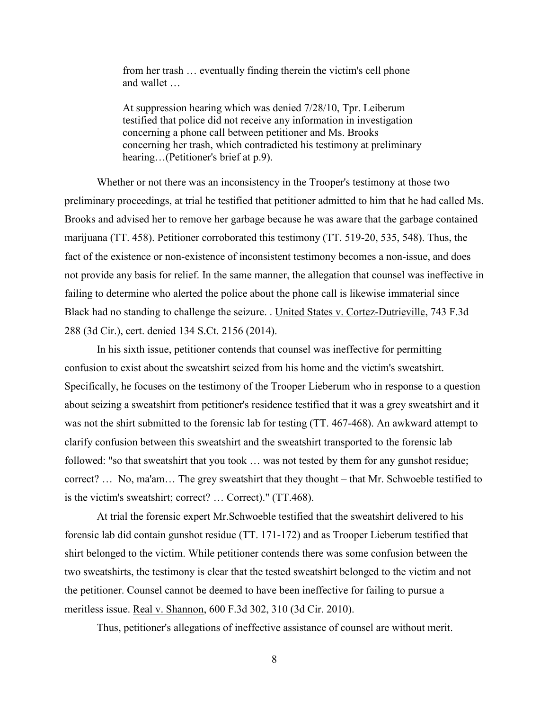from her trash … eventually finding therein the victim's cell phone and wallet

At suppression hearing which was denied 7/28/10, Tpr. Leiberum testified that police did not receive any information in investigation concerning a phone call between petitioner and Ms. Brooks concerning her trash, which contradicted his testimony at preliminary hearing...(Petitioner's brief at p.9).

Whether or not there was an inconsistency in the Trooper's testimony at those two preliminary proceedings, at trial he testified that petitioner admitted to him that he had called Ms. Brooks and advised her to remove her garbage because he was aware that the garbage contained marijuana (TT. 458). Petitioner corroborated this testimony (TT. 519-20, 535, 548). Thus, the fact of the existence or non-existence of inconsistent testimony becomes a non-issue, and does not provide any basis for relief. In the same manner, the allegation that counsel was ineffective in failing to determine who alerted the police about the phone call is likewise immaterial since Black had no standing to challenge the seizure. . United States v. Cortez-Dutrieville, 743 F.3d 288 (3d Cir.), cert. denied 134 S.Ct. 2156 (2014).

In his sixth issue, petitioner contends that counsel was ineffective for permitting confusion to exist about the sweatshirt seized from his home and the victim's sweatshirt. Specifically, he focuses on the testimony of the Trooper Lieberum who in response to a question about seizing a sweatshirt from petitioner's residence testified that it was a grey sweatshirt and it was not the shirt submitted to the forensic lab for testing (TT. 467-468). An awkward attempt to clarify confusion between this sweatshirt and the sweatshirt transported to the forensic lab followed: "so that sweatshirt that you took … was not tested by them for any gunshot residue; correct? … No, ma'am… The grey sweatshirt that they thought – that Mr. Schwoeble testified to is the victim's sweatshirt; correct? … Correct)." (TT.468).

At trial the forensic expert Mr.Schwoeble testified that the sweatshirt delivered to his forensic lab did contain gunshot residue (TT. 171-172) and as Trooper Lieberum testified that shirt belonged to the victim. While petitioner contends there was some confusion between the two sweatshirts, the testimony is clear that the tested sweatshirt belonged to the victim and not the petitioner. Counsel cannot be deemed to have been ineffective for failing to pursue a meritless issue. Real v. Shannon, 600 F.3d 302, 310 (3d Cir. 2010).

Thus, petitioner's allegations of ineffective assistance of counsel are without merit.

8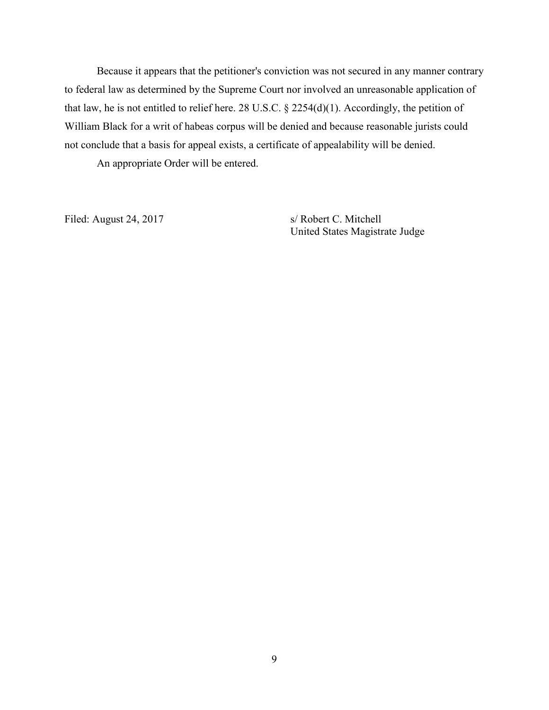Because it appears that the petitioner's conviction was not secured in any manner contrary to federal law as determined by the Supreme Court nor involved an unreasonable application of that law, he is not entitled to relief here. 28 U.S.C. § 2254(d)(1). Accordingly, the petition of William Black for a writ of habeas corpus will be denied and because reasonable jurists could not conclude that a basis for appeal exists, a certificate of appealability will be denied.

An appropriate Order will be entered.

Filed: August 24, 2017 s/ Robert C. Mitchell

United States Magistrate Judge